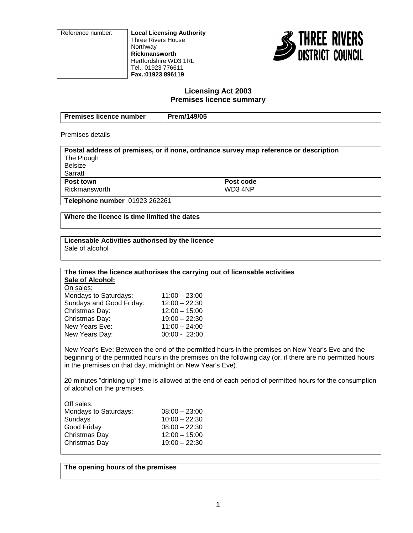Reference number: **Local Licensing Authority** Three Rivers House Northway **Rickmansworth** Hertfordshire WD3 1RL Tel.: 01923 776611 **Fax.:01923 896119**



# **Licensing Act 2003 Premises licence summary**

| <b>Premises licence number</b> | Prem/149/05 |
|--------------------------------|-------------|
|                                |             |

Premises details

| Postal address of premises, or if none, ordnance survey map reference or description |  |  |
|--------------------------------------------------------------------------------------|--|--|
| The Plough                                                                           |  |  |
| <b>Belsize</b>                                                                       |  |  |
| Sarratt                                                                              |  |  |
| Post code<br>Post town                                                               |  |  |
| WD3 4NP<br>Rickmansworth                                                             |  |  |
| <b>Telephone number 01923 262261</b>                                                 |  |  |

**Where the licence is time limited the dates**

# **Licensable Activities authorised by the licence**

Sale of alcohol

#### **The times the licence authorises the carrying out of licensable activities Sale of Alcohol:**

On sales:

| Mondays to Saturdays:    | $11:00 - 23:00$ |
|--------------------------|-----------------|
| Sundays and Good Friday: | $12:00 - 22:30$ |
| Christmas Day:           | $12:00 - 15:00$ |
| Christmas Day:           | $19:00 - 22:30$ |
| New Years Eve:           | $11:00 - 24:00$ |
| New Years Day:           | $00:00 - 23:00$ |
|                          |                 |

New Year's Eve: Between the end of the permitted hours in the premises on New Year's Eve and the beginning of the permitted hours in the premises on the following day (or, if there are no permitted hours in the premises on that day, midnight on New Year's Eve).

20 minutes "drinking up" time is allowed at the end of each period of permitted hours for the consumption of alcohol on the premises.

Off sales: Mondays to Saturdays: 08:00 – 23:00 Sundays 10:00 – 22:30 Good Friday 08:00 – 22:30 Christmas Day 12:00 – 15:00 Christmas Day 19:00 – 22:30

**The opening hours of the premises**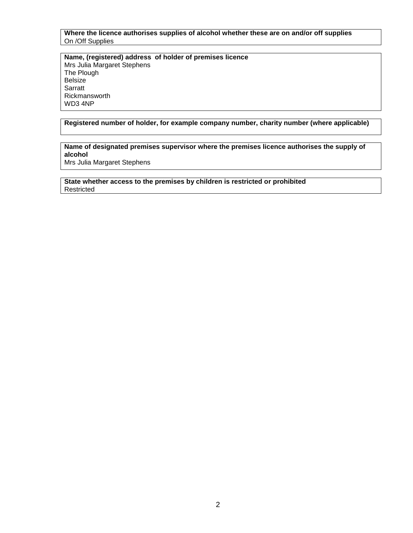**Where the licence authorises supplies of alcohol whether these are on and/or off supplies** On /Off Supplies

**Name, (registered) address of holder of premises licence** Mrs Julia Margaret Stephens The Plough Belsize **Sarratt** Rickmansworth WD3 4NP

**Registered number of holder, for example company number, charity number (where applicable)**

# **Name of designated premises supervisor where the premises licence authorises the supply of alcohol**

Mrs Julia Margaret Stephens

**State whether access to the premises by children is restricted or prohibited** Restricted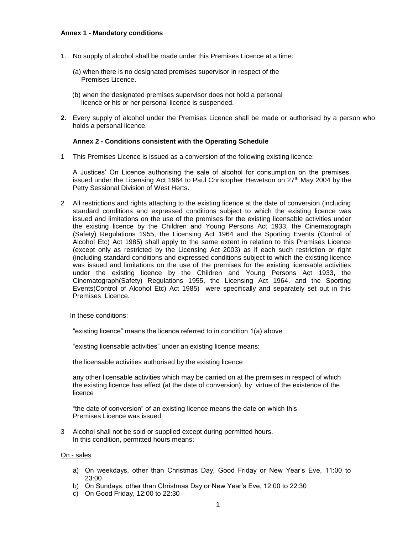#### **Annex 1 - Mandatory conditions**

- 1. No supply of alcohol shall be made under this Premises Licence at a time:
	- (a) when there is no designated premises supervisor in respect of the Premises Licence.
	- (b) when the designated premises supervisor does not hold a personal licence or his or her personal licence is suspended.
- **2.** Every supply of alcohol under the Premises Licence shall be made or authorised by a person who holds a personal licence.

#### **Annex 2 - Conditions consistent with the Operating Schedule**

1 This Premises Licence is issued as a conversion of the following existing licence:

A Justices' On Licence authorising the sale of alcohol for consumption on the premises, issued under the Licensing Act 1964 to Paul Christopher Hewetson on  $27<sup>th</sup>$  May 2004 by the Petty Sessional Division of West Herts.

2 All restrictions and rights attaching to the existing licence at the date of conversion (including standard conditions and expressed conditions subject to which the existing licence was issued and limitations on the use of the premises for the existing licensable activities under the existing licence by the Children and Young Persons Act 1933, the Cinematograph (Safety) Regulations 1955, the Licensing Act 1964 and the Sporting Events (Control of Alcohol Etc) Act 1985) shall apply to the same extent in relation to this Premises Licence (except only as restricted by the Licensing Act 2003) as if each such restriction or right (including standard conditions and expressed conditions subject to which the existing licence was issued and limitations on the use of the premises for the existing licensable activities under the existing licence by the Children and Young Persons Act 1933, the Cinematograph(Safety) Regulations 1955, the Licensing Act 1964, and the Sporting Events(Control of Alcohol Etc) Act 1985) were specifically and separately set out in this Premises Licence.

In these conditions:

"existing licence" means the licence referred to in condition 1(a) above

"existing licensable activities" under an existing licence means:

the licensable activities authorised by the existing licence

any other licensable activities which may be carried on at the premises in respect of which the existing licence has effect (at the date of conversion), by virtue of the existence of the licence

"the date of conversion" of an existing licence means the date on which this Premises Licence was issued

3 Alcohol shall not be sold or supplied except during permitted hours. In this condition, permitted hours means:

#### On - sales

- a) On weekdays, other than Christmas Day, Good Friday or New Year's Eve, 11:00 to 23:00
- b) On Sundays, other than Christmas Day or New Year's Eve, 12:00 to 22:30
- c) On Good Friday, 12:00 to 22:30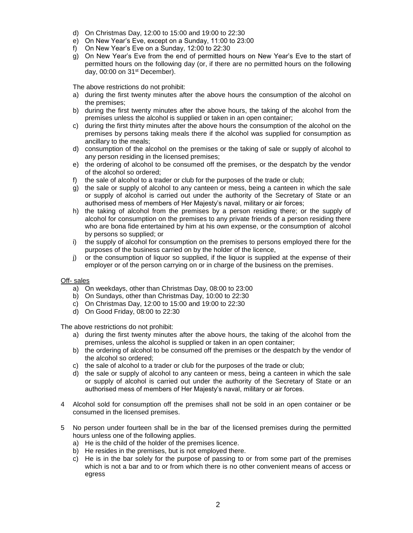- d) On Christmas Day, 12:00 to 15:00 and 19:00 to 22:30
- e) On New Year's Eve, except on a Sunday, 11:00 to 23:00
- f) On New Year's Eve on a Sunday, 12:00 to 22:30
- g) On New Year's Eve from the end of permitted hours on New Year's Eve to the start of permitted hours on the following day (or, if there are no permitted hours on the following day, 00:00 on 31<sup>st</sup> December).

The above restrictions do not prohibit:

- a) during the first twenty minutes after the above hours the consumption of the alcohol on the premises;
- b) during the first twenty minutes after the above hours, the taking of the alcohol from the premises unless the alcohol is supplied or taken in an open container;
- c) during the first thirty minutes after the above hours the consumption of the alcohol on the premises by persons taking meals there if the alcohol was supplied for consumption as ancillary to the meals;
- d) consumption of the alcohol on the premises or the taking of sale or supply of alcohol to any person residing in the licensed premises;
- e) the ordering of alcohol to be consumed off the premises, or the despatch by the vendor of the alcohol so ordered;
- f) the sale of alcohol to a trader or club for the purposes of the trade or club;
- g) the sale or supply of alcohol to any canteen or mess, being a canteen in which the sale or supply of alcohol is carried out under the authority of the Secretary of State or an authorised mess of members of Her Majesty's naval, military or air forces;
- h) the taking of alcohol from the premises by a person residing there; or the supply of alcohol for consumption on the premises to any private friends of a person residing there who are bona fide entertained by him at his own expense, or the consumption of alcohol by persons so supplied; or
- i) the supply of alcohol for consumption on the premises to persons employed there for the purposes of the business carried on by the holder of the licence,
- j) or the consumption of liquor so supplied, if the liquor is supplied at the expense of their employer or of the person carrying on or in charge of the business on the premises.

#### Off- sales

- a) On weekdays, other than Christmas Day, 08:00 to 23:00
- b) On Sundays, other than Christmas Day, 10:00 to 22:30
- c) On Christmas Day, 12:00 to 15:00 and 19:00 to 22:30
- d) On Good Friday, 08:00 to 22:30

The above restrictions do not prohibit:

- a) during the first twenty minutes after the above hours, the taking of the alcohol from the premises, unless the alcohol is supplied or taken in an open container;
- b) the ordering of alcohol to be consumed off the premises or the despatch by the vendor of the alcohol so ordered;
- c) the sale of alcohol to a trader or club for the purposes of the trade or club;
- d) the sale or supply of alcohol to any canteen or mess, being a canteen in which the sale or supply of alcohol is carried out under the authority of the Secretary of State or an authorised mess of members of Her Majesty's naval, military or air forces.
- 4 Alcohol sold for consumption off the premises shall not be sold in an open container or be consumed in the licensed premises.
- 5 No person under fourteen shall be in the bar of the licensed premises during the permitted hours unless one of the following applies.
	- a) He is the child of the holder of the premises licence.
	- b) He resides in the premises, but is not employed there.
	- c) He is in the bar solely for the purpose of passing to or from some part of the premises which is not a bar and to or from which there is no other convenient means of access or egress